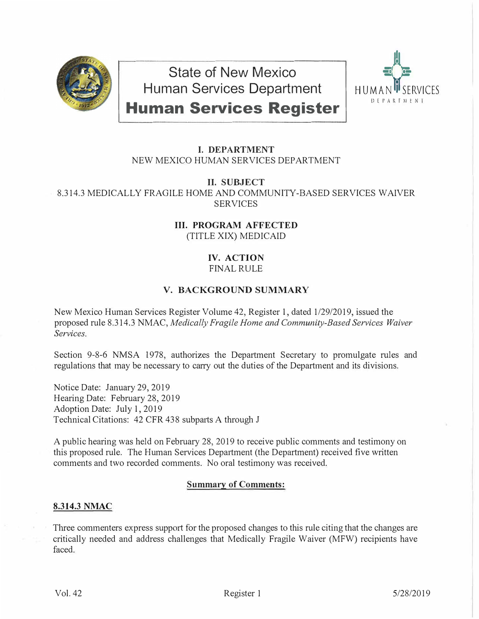

**State of New Mexico Human Services Department** 



**Human Services Register** 

# **I. DEPARTMENT** NEW MEXICO HUMAN SERVICES DEPARTMENT

**II. SUBJECT**

8.314.3 MEDICALLY FRAGILE HOME AND COMMUNITY-BASED SERVICES WAIVER **SERVICES** 

> **III. PROGRAM AFFECTED** (TITLE XIX) MEDICAID

## **IV. ACTION** FINAL RULE

# **V. BACKGROUND SUMMARY**

New Mexico Human Services Register Volume 42, Register 1, dated 1/29/2019, issued the proposed rule 8.314.3 NMAC, *Medically Fragile Home and Community-Based Services Waiver Services.* 

Section 9-8-6 NMSA 1978, authorizes the Department Secretary to promulgate rules and regulations that may be necessary to carry out the duties of the Department and its divisions.

Notice Date: January 29, 2019 Hearing Date: February 28, 2019 Adoption Date: July 1, 2019 Technical Citations: 42 CFR 438 subparts A through J

A public hearing was held on February 28, 2019 to receive public comments and testimony on this proposed rule. The Human Services Department (the Department) received five written comments and two recorded comments. No oral testimony was received.

# **Summary of Comments:**

# **8.314.3 NMAC**

Three commenters express support for the proposed changes to this rule citing that the changes are critically needed and address challenges that Medically Fragile Waiver (MFW) recipients have faced.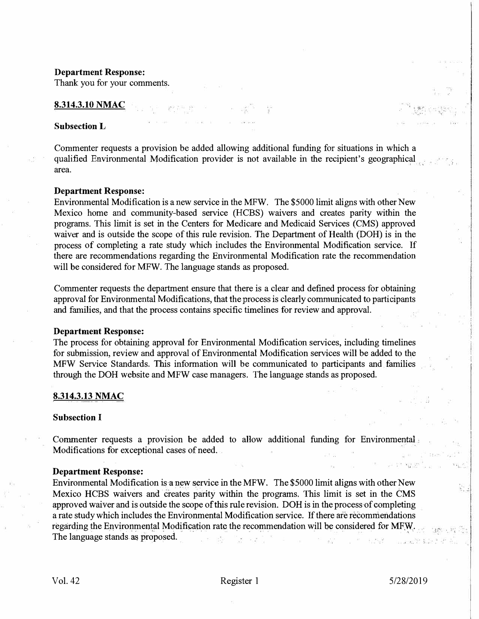#### **Department Response:**

Thank you for your comments.

### **8.314.3.10 NMAC**

### **Subsection L**

Commenter requests a provision be added allowing additional funding for situations in which a qualified Environmental Modification provider is not available in the recipient's geographical area.

#### **Department Response:**

Environmental Modification is a new service in the MFW. The \$5000 limit aligns with other New Mexico home and community-based service (HCBS) waivers and creates parity within the programs. This limit is set in the Centers for Medicare and Medicaid Services (CMS) approved waiver and is outside the scope of this rule revision. The Department of Health (DOH) is in the process of completing a rate study which includes the Environmental Modification service. If there are recommendations regarding the Environmental Modification rate the recommendation will be considered for MFW. The language stands as proposed.

Commenter requests the department ensure that there is a clear and defined process for obtaining approval for Environmental Modifications, that the process is clearly communicated to participants and families, and that the process contains specific timelines for review and approval.

### **Department Response:**

The process for obtaining approval for Environmental Modification services, including timelines for submission, review and approval of Environmental Modification services will be added to the MFW Service Standards. This information will be communicated to participants and families through the DOH website and MFW case managers. The language stands as proposed.

#### **8.314.3.13 NMAC**

### **Subsection I**

Commenter requests a provision be added to allow additional funding for Environmental . Modifications for exceptional cases of need.

#### **Department Response:**

Environmental Modification is a new service in the MFW. The \$5000 limit aligns with other New Mexico HCBS waivers and creates parity within the programs. This limit is set in the CMS approved waiver and is outside the scope of this rule revision. DOH is in the process of completing a rate study which includes the Environmental Modification service. If there are recommendations regarding the Environmental Modification rate the recommendation will be considered for MFW. The language stands as proposed.